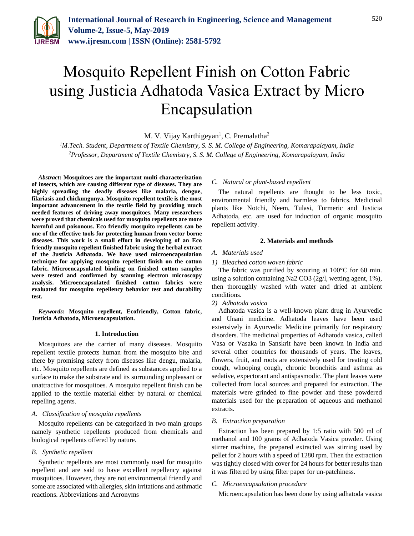

# Mosquito Repellent Finish on Cotton Fabric using Justicia Adhatoda Vasica Extract by Micro Encapsulation

M. V. Vijay Karthigeyan<sup>1</sup>, C. Premalatha<sup>2</sup>

*<sup>1</sup>M.Tech. Student, Department of Textile Chemistry, S. S. M. College of Engineering, Komarapalayam, India 2Professor, Department of Textile Chemistry, S. S. M. College of Engineering, Komarapalayam, India*

*Abstract***: Mosquitoes are the important multi characterization of insects, which are causing different type of diseases. They are highly spreading the deadly diseases like malaria, dengue, filariasis and chickungunya. Mosquito repellent textile is the most important advancement in the textile field by providing much needed features of driving away mosquitoes. Many researchers were proved that chemicals used for mosquito repellents are more harmful and poisonous. Eco friendly mosquito repellents can be one of the effective tools for protecting human from vector borne diseases. This work is a small effort in developing of an Eco friendly mosquito repellent finished fabric using the herbal extract of the Justicia Adhatoda. We have used microencapsulation technique for applying mosquito repellent finish on the cotton fabric. Microencapsulated binding on finished cotton samples were tested and confirmed by scanning electron microscopy analysis. Microencapsulated finished cotton fabrics were evaluated for mosquito repellency behavior test and durability test.**

*Keywords***: Mosquito repellent, Ecofriendly, Cotton fabric, Justicia Adhatoda, Microencapsulation.**

## **1. Introduction**

Mosquitoes are the carrier of many diseases. Mosquito repellent textile protects human from the mosquito bite and there by promising safety from diseases like dengu, malaria, etc. Mosquito repellents are defined as substances applied to a surface to make the substrate and its surrounding unpleasant or unattractive for mosquitoes. A mosquito repellent finish can be applied to the textile material either by natural or chemical repelling agents.

## *A. Classification of mosquito repellents*

Mosquito repellents can be categorized in two main groups namely synthetic repellents produced from chemicals and biological repellents offered by nature.

# *B. Synthetic repellent*

Synthetic repellents are most commonly used for mosquito repellent and are said to have excellent repellency against mosquitoes. However, they are not environmental friendly and some are associated with allergies, skin irritations and asthmatic reactions. Abbreviations and Acronyms

# *C. Natural or plant-based repellent*

The natural repellents are thought to be less toxic, environmental friendly and harmless to fabrics. Medicinal plants like Notchi, Neem, Tulasi, Turmeric and Justicia Adhatoda, etc. are used for induction of organic mosquito repellent activity.

## **2. Materials and methods**

# *A. Materials used*

## *1) Bleached cotton woven fabric*

The fabric was purified by scouring at 100°C for 60 min. using a solution containing Na2 CO3 (2g/l, wetting agent, 1%), then thoroughly washed with water and dried at ambient conditions.

# *2) Adhatoda vasica*

Adhatoda vasica is a well-known plant drug in Ayurvedic and Unani medicine. Adhatoda leaves have been used extensively in Ayurvedic Medicine primarily for respiratory disorders. The medicinal properties of Adhatoda vasica, called Vasa or Vasaka in Sanskrit have been known in India and several other countries for thousands of years. The leaves, flowers, fruit, and roots are extensively used for treating cold cough, whooping cough, chronic bronchitis and asthma as sedative, expectorant and antispasmodic. The plant leaves were collected from local sources and prepared for extraction. The materials were grinded to fine powder and these powdered materials used for the preparation of aqueous and methanol extracts.

#### *B. Extraction preparation*

Extraction has been prepared by 1:5 ratio with 500 ml of methanol and 100 grams of Adhatoda Vasica powder. Using stirrer machine, the prepared extracted was stirring used by pellet for 2 hours with a speed of 1280 rpm. Then the extraction was tightly closed with cover for 24 hours for better results than it was filtered by using filter paper for un-patchiness.

# *C. Microencapsulation procedure*

Microencapsulation has been done by using adhatoda vasica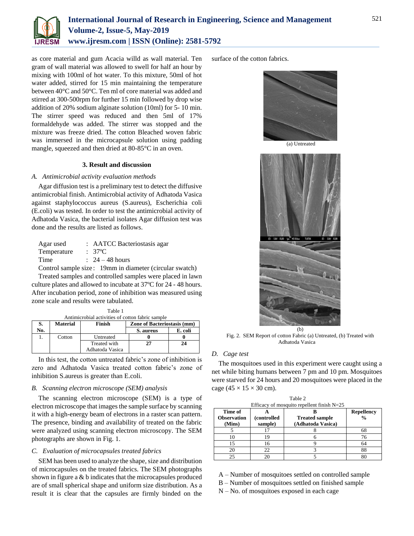

as core material and gum Acacia willd as wall material. Ten gram of wall material was allowed to swell for half an hour by mixing with 100ml of hot water. To this mixture, 50ml of hot water added, stirred for 15 min maintaining the temperature between 40°C and 50°C. Ten ml of core material was added and stirred at 300-500rpm for further 15 min followed by drop wise addition of 20% sodium alginate solution (10ml) for 5- 10 min. The stirrer speed was reduced and then 5ml of 17% formaldehyde was added. The stirrer was stopped and the mixture was freeze dried. The cotton Bleached woven fabric was immersed in the microcapsule solution using padding mangle, squeezed and then dried at 80-85°C in an oven.

# **3. Result and discussion**

# *A. Antimicrobial activity evaluation methods*

Agar diffusion test is a preliminary test to detect the diffusive antimicrobial finish. Antimicrobial activity of Adhatoda Vasica against staphylococcus aureus (S.aureus), Escherichia coli (E.coli) was tested. In order to test the antimicrobial activity of Adhatoda Vasica, the bacterial isolates Agar diffusion test was done and the results are listed as follows.

| Agar used   | : AATCC Bacteriostasis agar                                                                                                                                                                                                                                                                                                      |
|-------------|----------------------------------------------------------------------------------------------------------------------------------------------------------------------------------------------------------------------------------------------------------------------------------------------------------------------------------|
| Temperature | $: 37^{\circ}$ C                                                                                                                                                                                                                                                                                                                 |
| Time        | $\therefore$ 24 – 48 hours                                                                                                                                                                                                                                                                                                       |
|             | $\Omega$ and $\Omega$ and $\Omega$ and $\Omega$ and $\Omega$ and $\Omega$ and $\Omega$ and $\Omega$ and $\Omega$ and $\Omega$ and $\Omega$ and $\Omega$ and $\Omega$ and $\Omega$ and $\Omega$ and $\Omega$ and $\Omega$ and $\Omega$ and $\Omega$ and $\Omega$ and $\Omega$ and $\Omega$ and $\Omega$ and $\Omega$ and $\Omega$ |

Control sample size : 19mm in diameter (circular swatch)

Treated samples and controlled samples were placed in lawn culture plates and allowed to incubate at 37ºC for 24 - 48 hours. After incubation period, zone of inhibition was measured using zone scale and results were tabulated.

| Antimicrobial activities of cotton fabric sample |                 |                 |                                    |         |  |  |  |  |
|--------------------------------------------------|-----------------|-----------------|------------------------------------|---------|--|--|--|--|
| S.                                               | <b>Material</b> | Finish          | <b>Zone of Bacteriostasis (mm)</b> |         |  |  |  |  |
| No.                                              |                 |                 | S. aureus                          | E. coli |  |  |  |  |
|                                                  | Cotton          | Untreated       |                                    |         |  |  |  |  |
|                                                  |                 | Treated with    | 27                                 | 24      |  |  |  |  |
|                                                  |                 | Adhatoda Vasica |                                    |         |  |  |  |  |

Table 1

In this test, the cotton untreated fabric's zone of inhibition is zero and Adhatoda Vasica treated cotton fabric's zone of inhibition S.aureus is greater than E.coli.

## *B. Scanning electron microscope (SEM) analysis*

The scanning electron microscope (SEM) is a type of electron microscope that images the sample surface by scanning it with a high-energy beam of electrons in a raster scan pattern. The presence, binding and availability of treated on the fabric were analyzed using scanning electron microscopy. The SEM photographs are shown in Fig. 1.

# *C. Evaluation of microcapsules treated fabrics*

SEM has been used to analyze the shape, size and distribution of microcapsules on the treated fabrics. The SEM photographs shown in figure a & b indicates that the microcapsules produced are of small spherical shape and uniform size distribution. As a result it is clear that the capsules are firmly binded on the

surface of the cotton fabrics.



(a) Untreated



Fig. 2. SEM Report of cotton Fabric (a) Untreated, (b) Treated with Adhatoda Vasica

## *D. Cage test*

The mosquitoes used in this experiment were caught using a net while biting humans between 7 pm and 10 pm. Mosquitoes were starved for 24 hours and 20 mosquitoes were placed in the cage ( $45 \times 15 \times 30$  cm).

Table 2

| $\overline{\mathbf{u}}$<br>Efficacy of mosquito repellent finish $N=25$ |                        |                                            |                                    |  |  |  |
|-------------------------------------------------------------------------|------------------------|--------------------------------------------|------------------------------------|--|--|--|
| Time of<br><b>Observation</b><br>(Mins)                                 | (controlled<br>sample) | <b>Treated sample</b><br>(Adhatoda Vasica) | <b>Repellency</b><br>$\frac{0}{0}$ |  |  |  |
|                                                                         |                        |                                            |                                    |  |  |  |
|                                                                         | 19                     |                                            |                                    |  |  |  |
| 15                                                                      | 16                     |                                            | 64                                 |  |  |  |
| 20                                                                      | 22                     |                                            | 88                                 |  |  |  |
| 25                                                                      |                        |                                            |                                    |  |  |  |

A – Number of mosquitoes settled on controlled sample

- B Number of mosquitoes settled on finished sample
- N No. of mosquitoes exposed in each cage